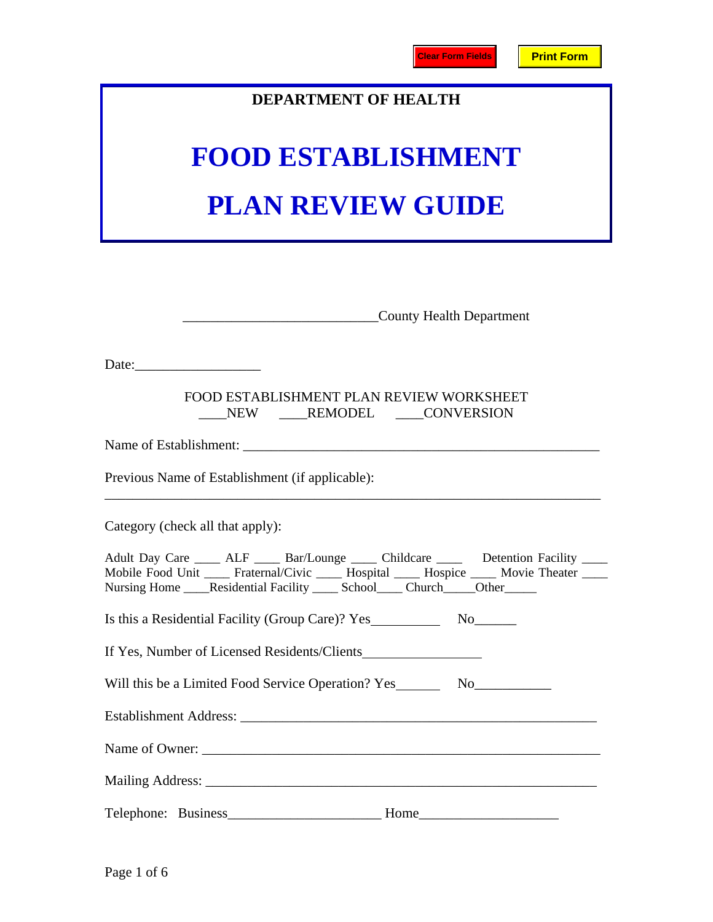## **DEPARTMENT OF HEALTH**

# **FOOD ESTABLISHMENT PLAN REVIEW GUIDE**

| County Health Department                                                                                                                                                                                                                                                |
|-------------------------------------------------------------------------------------------------------------------------------------------------------------------------------------------------------------------------------------------------------------------------|
| Date:                                                                                                                                                                                                                                                                   |
| FOOD ESTABLISHMENT PLAN REVIEW WORKSHEET<br>NEW REMODEL CONVERSION                                                                                                                                                                                                      |
|                                                                                                                                                                                                                                                                         |
| Previous Name of Establishment (if applicable):                                                                                                                                                                                                                         |
| Category (check all that apply):                                                                                                                                                                                                                                        |
| Adult Day Care _____ ALF _____ Bar/Lounge _____ Childcare _____ Detention Facility ____<br>Mobile Food Unit ____ Fraternal/Civic ____ Hospital ____ Hospice ____ Movie Theater ____<br>Nursing Home _____Residential Facility ______ School_____ Church_____Other______ |
|                                                                                                                                                                                                                                                                         |
| If Yes, Number of Licensed Residents/Clients                                                                                                                                                                                                                            |
| Will this be a Limited Food Service Operation? Yes_______________________________                                                                                                                                                                                       |
|                                                                                                                                                                                                                                                                         |
|                                                                                                                                                                                                                                                                         |
|                                                                                                                                                                                                                                                                         |
|                                                                                                                                                                                                                                                                         |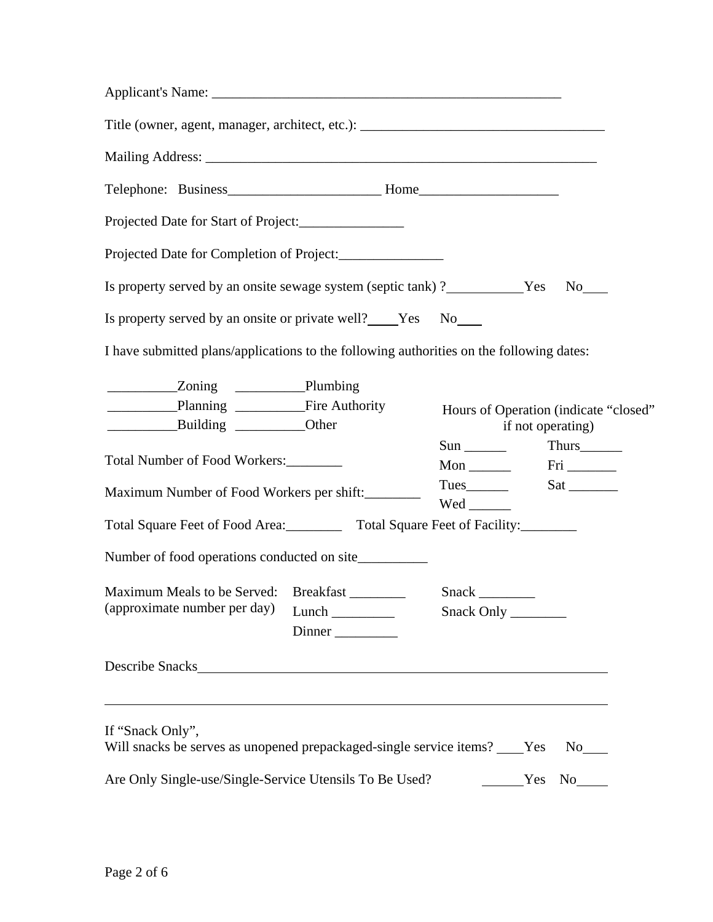| Projected Date for Start of Project:______________                                          |        |     |                                                                                                                                                                                                                                                                                                                                                                                                                               |
|---------------------------------------------------------------------------------------------|--------|-----|-------------------------------------------------------------------------------------------------------------------------------------------------------------------------------------------------------------------------------------------------------------------------------------------------------------------------------------------------------------------------------------------------------------------------------|
| Projected Date for Completion of Project:________________                                   |        |     |                                                                                                                                                                                                                                                                                                                                                                                                                               |
| Is property served by an onsite sewage system (septic tank) ? ____________Yes No____        |        |     |                                                                                                                                                                                                                                                                                                                                                                                                                               |
| Is property served by an onsite or private well? Yes No                                     |        |     |                                                                                                                                                                                                                                                                                                                                                                                                                               |
| I have submitted plans/applications to the following authorities on the following dates:    |        |     |                                                                                                                                                                                                                                                                                                                                                                                                                               |
| Planning Fire Authority<br>Building ____________Other                                       |        |     | Hours of Operation (indicate "closed"<br>if not operating)                                                                                                                                                                                                                                                                                                                                                                    |
|                                                                                             |        |     | $Sun$ Thurs $\frac{1}{2}$                                                                                                                                                                                                                                                                                                                                                                                                     |
| Total Number of Food Workers:                                                               |        |     | Mon $\frac{1}{\sqrt{1-\frac{1}{\sqrt{1-\frac{1}{\sqrt{1-\frac{1}{\sqrt{1-\frac{1}{\sqrt{1-\frac{1}{\sqrt{1-\frac{1}{\sqrt{1-\frac{1}{\sqrt{1-\frac{1}{\sqrt{1-\frac{1}{\sqrt{1-\frac{1}{\sqrt{1-\frac{1}{\sqrt{1-\frac{1}{\sqrt{1-\frac{1}{\sqrt{1-\frac{1}{\sqrt{1-\frac{1}{\sqrt{1-\frac{1}{\sqrt{1-\frac{1}{\sqrt{1-\frac{1}{\sqrt{1-\frac{1}{\sqrt{1-\frac{1}{\sqrt{1-\frac{1}{\sqrt{1-\frac{1}{\sqrt{1-\frac{1}{\sqrt{1$ |
| Maximum Number of Food Workers per shift:                                                   |        | Wed |                                                                                                                                                                                                                                                                                                                                                                                                                               |
| Total Square Feet of Food Area: ___________ Total Square Feet of Facility: ________         |        |     |                                                                                                                                                                                                                                                                                                                                                                                                                               |
| Number of food operations conducted on site__________                                       |        |     |                                                                                                                                                                                                                                                                                                                                                                                                                               |
| Maximum Meals to be Served: Breakfast                                                       |        |     |                                                                                                                                                                                                                                                                                                                                                                                                                               |
| (approximate number per day)                                                                | Dinner |     |                                                                                                                                                                                                                                                                                                                                                                                                                               |
| Describe Snacks                                                                             |        |     |                                                                                                                                                                                                                                                                                                                                                                                                                               |
|                                                                                             |        |     |                                                                                                                                                                                                                                                                                                                                                                                                                               |
| If "Snack Only",<br>Will snacks be serves as unopened prepackaged-single service items? Yes |        |     | $No$ <sub>____</sub>                                                                                                                                                                                                                                                                                                                                                                                                          |
| Are Only Single-use/Single-Service Utensils To Be Used?                                     |        |     | Yes<br>No results                                                                                                                                                                                                                                                                                                                                                                                                             |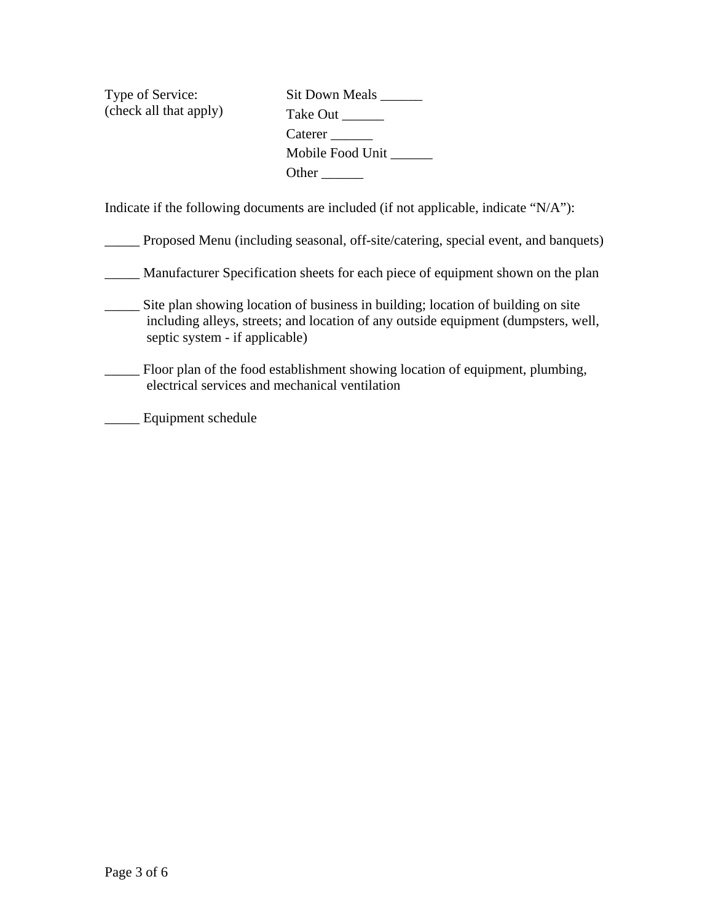Type of Service: (check all that apply) Sit Down Meals \_\_\_\_\_\_\_ Take Out \_\_\_\_\_\_\_ Caterer \_\_\_\_\_\_\_ Mobile Food Unit \_\_\_\_\_\_ Other \_\_\_\_\_\_\_\_\_

Indicate if the following documents are included (if not applicable, indicate "N/A"):

\_\_\_\_\_ Proposed Menu (including seasonal, off-site/catering, special event, and banquets)

\_\_\_\_\_ Manufacturer Specification sheets for each piece of equipment shown on the plan

\_\_\_\_\_ Site plan showing location of business in building; location of building on site including alleys, streets; and location of any outside equipment (dumpsters, well, septic system - if applicable)

\_\_\_\_\_ Floor plan of the food establishment showing location of equipment, plumbing, electrical services and mechanical ventilation

\_\_\_\_\_ Equipment schedule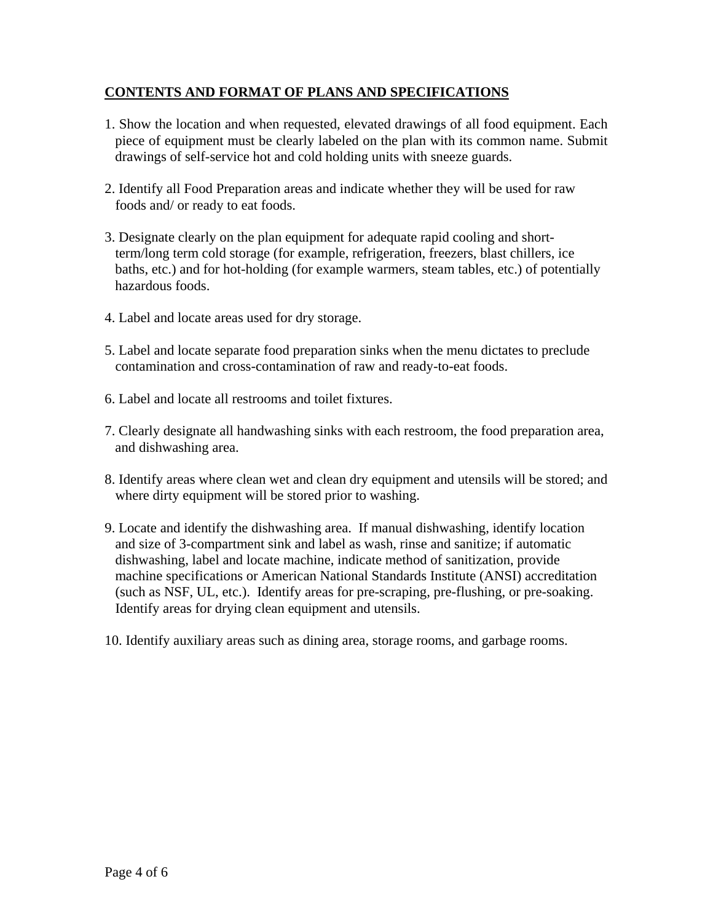### **CONTENTS AND FORMAT OF PLANS AND SPECIFICATIONS**

- 1. Show the location and when requested, elevated drawings of all food equipment. Each piece of equipment must be clearly labeled on the plan with its common name. Submit drawings of self-service hot and cold holding units with sneeze guards.
- 2. Identify all Food Preparation areas and indicate whether they will be used for raw foods and/ or ready to eat foods.
- 3. Designate clearly on the plan equipment for adequate rapid cooling and shortterm/long term cold storage (for example, refrigeration, freezers, blast chillers, ice baths, etc.) and for hot-holding (for example warmers, steam tables, etc.) of potentially hazardous foods.
- 4. Label and locate areas used for dry storage.
- 5. Label and locate separate food preparation sinks when the menu dictates to preclude contamination and cross-contamination of raw and ready-to-eat foods.
- 6. Label and locate all restrooms and toilet fixtures.
- 7. Clearly designate all handwashing sinks with each restroom, the food preparation area, and dishwashing area.
- 8. Identify areas where clean wet and clean dry equipment and utensils will be stored; and where dirty equipment will be stored prior to washing.
- 9. Locate and identify the dishwashing area. If manual dishwashing, identify location and size of 3-compartment sink and label as wash, rinse and sanitize; if automatic dishwashing, label and locate machine, indicate method of sanitization, provide machine specifications or American National Standards Institute (ANSI) accreditation (such as NSF, UL, etc.). Identify areas for pre-scraping, pre-flushing, or pre-soaking. Identify areas for drying clean equipment and utensils.
- 10. Identify auxiliary areas such as dining area, storage rooms, and garbage rooms.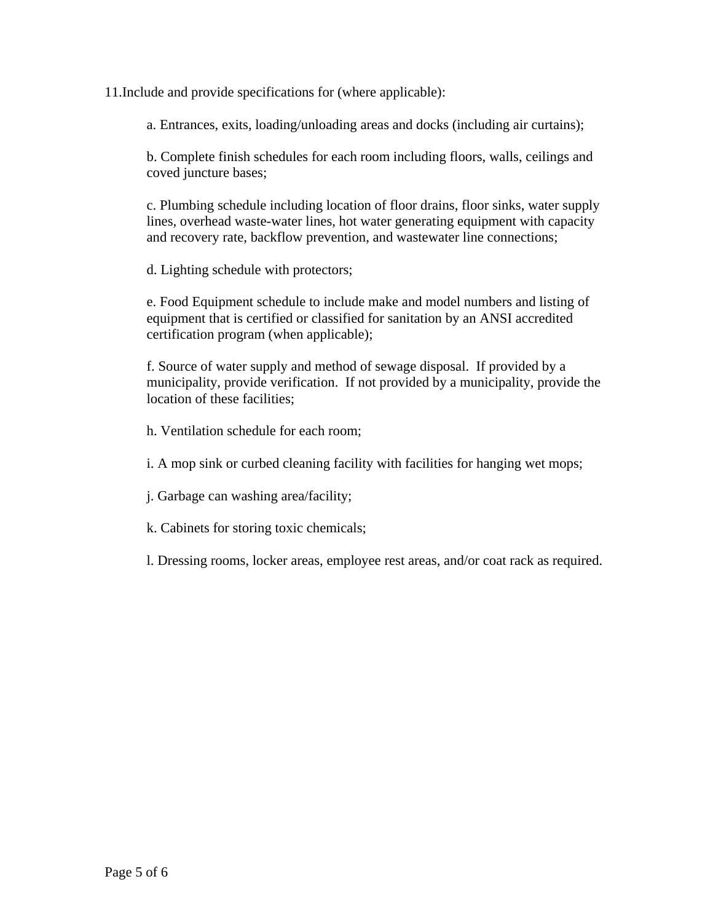11.Include and provide specifications for (where applicable):

a. Entrances, exits, loading/unloading areas and docks (including air curtains);

b. Complete finish schedules for each room including floors, walls, ceilings and coved juncture bases;

c. Plumbing schedule including location of floor drains, floor sinks, water supply lines, overhead waste-water lines, hot water generating equipment with capacity and recovery rate, backflow prevention, and wastewater line connections;

d. Lighting schedule with protectors;

e. Food Equipment schedule to include make and model numbers and listing of equipment that is certified or classified for sanitation by an ANSI accredited certification program (when applicable);

f. Source of water supply and method of sewage disposal. If provided by a municipality, provide verification. If not provided by a municipality, provide the location of these facilities;

h. Ventilation schedule for each room;

i. A mop sink or curbed cleaning facility with facilities for hanging wet mops;

j. Garbage can washing area/facility;

k. Cabinets for storing toxic chemicals;

l. Dressing rooms, locker areas, employee rest areas, and/or coat rack as required.